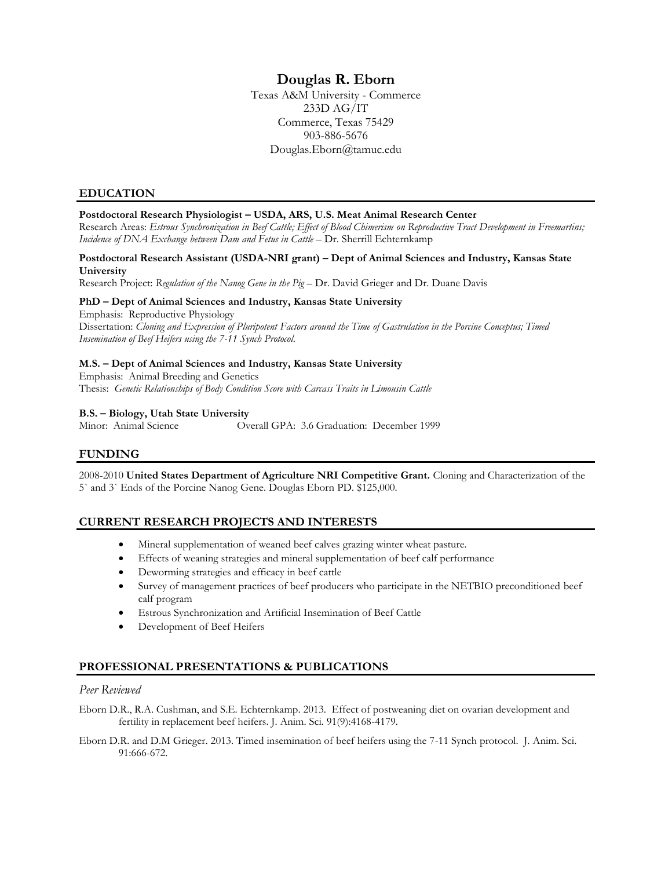# **Douglas R. Eborn**

Texas A&M University - Commerce 233D AG/IT Commerce, Texas 75429 903-886-5676 Douglas.Eborn@tamuc.edu

## **EDUCATION**

## **Postdoctoral Research Physiologist – USDA, ARS, U.S. Meat Animal Research Center**

Research Areas: *Estrous Synchronization in Beef Cattle; Effect of Blood Chimerism on Reproductive Tract Development in Freemartins; Incidence of DNA Exchange between Dam and Fetus in Cattle – Dr. Sherrill Echternkamp* 

### **Postdoctoral Research Assistant (USDA-NRI grant) – Dept of Animal Sciences and Industry, Kansas State University**

Research Project: *Regulation of the Nanog Gene in the Pig* – Dr. David Grieger and Dr. Duane Davis

### **PhD – Dept of Animal Sciences and Industry, Kansas State University**

Emphasis: Reproductive Physiology Dissertation: *Cloning and Expression of Pluripotent Factors around the Time of Gastrulation in the Porcine Conceptus; Timed Insemination of Beef Heifers using the 7-11 Synch Protocol.*

## **M.S. – Dept of Animal Sciences and Industry, Kansas State University**

Emphasis: Animal Breeding and Genetics Thesis: *Genetic Relationships of Body Condition Score with Carcass Traits in Limousin Cattle*

### **B.S. – Biology, Utah State University**

Minor: Animal Science Overall GPA: 3.6 Graduation: December 1999

## **FUNDING**

2008-2010 **United States Department of Agriculture NRI Competitive Grant.** Cloning and Characterization of the 5` and 3` Ends of the Porcine Nanog Gene. Douglas Eborn PD. \$125,000.

## **CURRENT RESEARCH PROJECTS AND INTERESTS**

- Mineral supplementation of weaned beef calves grazing winter wheat pasture.
- Effects of weaning strategies and mineral supplementation of beef calf performance
- Deworming strategies and efficacy in beef cattle
- Survey of management practices of beef producers who participate in the NETBIO preconditioned beef calf program
- Estrous Synchronization and Artificial Insemination of Beef Cattle
- Development of Beef Heifers

## **PROFESSIONAL PRESENTATIONS & PUBLICATIONS**

## *Peer Reviewed*

Eborn D.R., R.A. Cushman, and S.E. Echternkamp. 2013. Effect of postweaning diet on ovarian development and fertility in replacement beef heifers. J. Anim. Sci. 91(9):4168-4179*.*

Eborn D.R. and D.M Grieger. 2013. Timed insemination of beef heifers using the 7-11 Synch protocol. J*.* Anim. Sci. 91:666-672.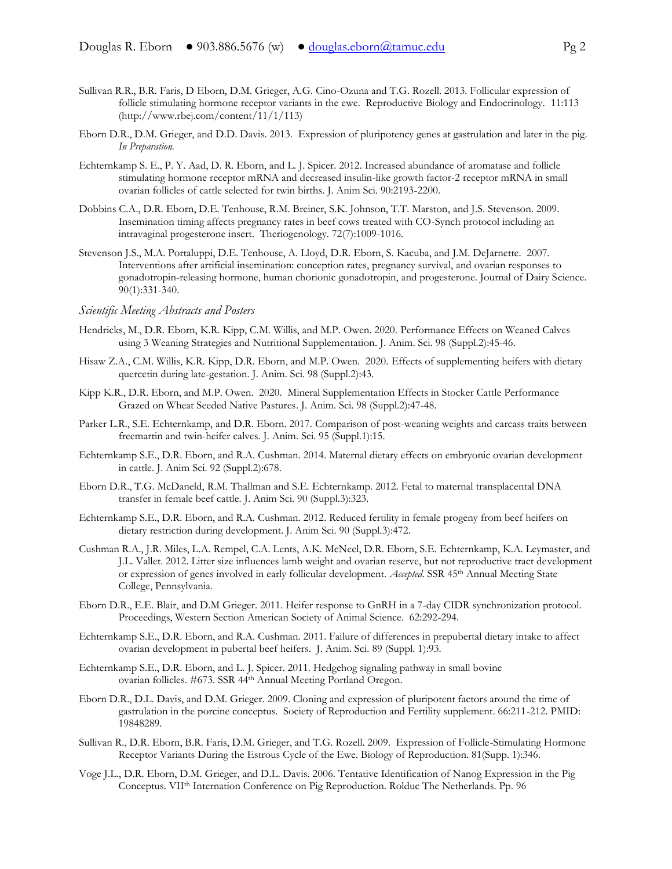- Sullivan R.R., B.R. Faris, D Eborn, D.M. Grieger, A.G. Cino-Ozuna and T.G. Rozell. 2013. Follicular expression of follicle stimulating hormone receptor variants in the ewe. Reproductive Biology and Endocrinology*.* 11:113 (http://www.rbej.com/content/11/1/113)
- Eborn D.R., D.M. Grieger, and D.D. Davis. 2013. Expression of pluripotency genes at gastrulation and later in the pig. *In Preparation.*
- Echternkamp S. E., P. Y. Aad, D. R. Eborn, and L. J. Spicer. 2012. Increased abundance of aromatase and follicle stimulating hormone receptor mRNA and decreased insulin-like growth factor-2 receptor mRNA in small ovarian follicles of cattle selected for twin births. J. Anim Sci. 90:2193-2200.
- Dobbins C.A., D.R. Eborn, D.E. Tenhouse, R.M. Breiner, S.K. Johnson, T.T. Marston, and J.S. Stevenson. 2009. Insemination timing affects pregnancy rates in beef cows treated with CO-Synch protocol including an intravaginal progesterone insert. Theriogenology. 72(7):1009-1016.
- Stevenson J.S., M.A. Portaluppi, D.E. Tenhouse, A. Lloyd, D.R. Eborn, S. Kacuba, and J.M. DeJarnette. 2007. Interventions after artificial insemination: conception rates, pregnancy survival, and ovarian responses to gonadotropin-releasing hormone, human chorionic gonadotropin, and progesterone. Journal of Dairy Science. 90(1):331-340.

## *Scientific Meeting Abstracts and Posters*

- Hendricks, M., D.R. Eborn, K.R. Kipp, C.M. Willis, and M.P. Owen. 2020. Performance Effects on Weaned Calves using 3 Weaning Strategies and Nutritional Supplementation. J. Anim. Sci. 98 (Suppl.2):45-46.
- Hisaw Z.A., C.M. Willis, K.R. Kipp, D.R. Eborn, and M.P. Owen. 2020. Effects of supplementing heifers with dietary quercetin during late-gestation. J. Anim. Sci. 98 (Suppl.2):43.
- Kipp K.R., D.R. Eborn, and M.P. Owen. 2020. Mineral Supplementation Effects in Stocker Cattle Performance Grazed on Wheat Seeded Native Pastures. J. Anim. Sci. 98 (Suppl.2):47-48.
- Parker L.R., S.E. Echternkamp, and D.R. Eborn. 2017. Comparison of post-weaning weights and carcass traits between freemartin and twin-heifer calves. J. Anim. Sci. 95 (Suppl.1):15.
- Echternkamp S.E., D.R. Eborn, and R.A. Cushman. 2014. Maternal dietary effects on embryonic ovarian development in cattle. J. Anim Sci. 92 (Suppl.2):678.
- Eborn D.R., T.G. McDaneld, R.M. Thallman and S.E. Echternkamp. 2012. Fetal to maternal transplacental DNA transfer in female beef cattle. J. Anim Sci. 90 (Suppl.3):323.
- Echternkamp S.E., D.R. Eborn, and R.A. Cushman. 2012. Reduced fertility in female progeny from beef heifers on dietary restriction during development. J. Anim Sci. 90 (Suppl.3):472.
- Cushman R.A., J.R. Miles, L.A. Rempel, C.A. Lents, A.K. McNeel, D.R. Eborn, S.E. Echternkamp, K.A. Leymaster, and J.L. Vallet. 2012. Litter size influences lamb weight and ovarian reserve, but not reproductive tract development or expression of genes involved in early follicular development. *Accepted*. SSR 45th Annual Meeting State College, Pennsylvania*.*
- Eborn D.R., E.E. Blair, and D.M Grieger. 2011. Heifer response to GnRH in a 7-day CIDR synchronization protocol. Proceedings, Western Section American Society of Animal Science. 62:292-294.
- Echternkamp S.E., D.R. Eborn, and R.A. Cushman. 2011. Failure of differences in prepubertal dietary intake to affect ovarian development in pubertal beef heifers. J. Anim. Sci*.* 89 (Suppl. 1):93.
- Echternkamp S.E., D.R. Eborn, and L. J. Spicer. 2011. Hedgehog signaling pathway in small bovine ovarian follicles. #673. SSR 44th Annual Meeting Portland Oregon*.*
- Eborn D.R., D.L. Davis, and D.M. Grieger. 2009. Cloning and expression of pluripotent factors around the time of gastrulation in the porcine conceptus. Society of Reproduction and Fertility supplement. 66:211-212. PMID: 19848289.
- Sullivan R., D.R. Eborn, B.R. Faris, D.M. Grieger, and T.G. Rozell. 2009. Expression of Follicle-Stimulating Hormone Receptor Variants During the Estrous Cycle of the Ewe. Biology of Reproduction. 81(Supp. 1):346.
- Voge J.L., D.R. Eborn, D.M. Grieger, and D.L. Davis. 2006. Tentative Identification of Nanog Expression in the Pig Conceptus. VIIth Internation Conference on Pig Reproduction. Rolduc The Netherlands. Pp. 96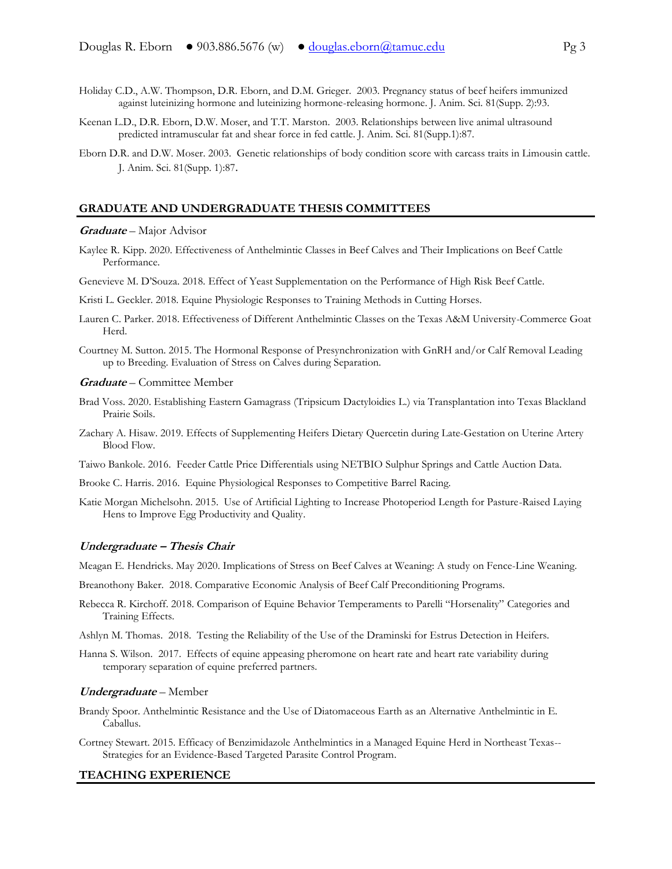- Holiday C.D., A.W. Thompson, D.R. Eborn, and D.M. Grieger. 2003. Pregnancy status of beef heifers immunized against luteinizing hormone and luteinizing hormone-releasing hormone. J. Anim. Sci. 81(Supp. 2):93.
- Keenan L.D., D.R. Eborn, D.W. Moser, and T.T. Marston. 2003. Relationships between live animal ultrasound predicted intramuscular fat and shear force in fed cattle. J. Anim. Sci. 81(Supp.1):87.
- Eborn D.R. and D.W. Moser. 2003. Genetic relationships of body condition score with carcass traits in Limousin cattle. J. Anim. Sci. 81(Supp. 1):87.

#### **GRADUATE AND UNDERGRADUATE THESIS COMMITTEES**

#### **Graduate** – Major Advisor

Kaylee R. Kipp. 2020. Effectiveness of Anthelmintic Classes in Beef Calves and Their Implications on Beef Cattle Performance.

Genevieve M. D'Souza. 2018. Effect of Yeast Supplementation on the Performance of High Risk Beef Cattle.

Kristi L. Geckler. 2018. Equine Physiologic Responses to Training Methods in Cutting Horses.

- Lauren C. Parker. 2018. Effectiveness of Different Anthelmintic Classes on the Texas A&M University-Commerce Goat Herd.
- Courtney M. Sutton. 2015. The Hormonal Response of Presynchronization with GnRH and/or Calf Removal Leading up to Breeding. Evaluation of Stress on Calves during Separation.

#### **Graduate** – Committee Member

- Brad Voss. 2020. Establishing Eastern Gamagrass (Tripsicum Dactyloidies L.) via Transplantation into Texas Blackland Prairie Soils.
- Zachary A. Hisaw. 2019. Effects of Supplementing Heifers Dietary Quercetin during Late-Gestation on Uterine Artery Blood Flow.

Taiwo Bankole. 2016. Feeder Cattle Price Differentials using NETBIO Sulphur Springs and Cattle Auction Data.

Brooke C. Harris. 2016. Equine Physiological Responses to Competitive Barrel Racing.

Katie Morgan Michelsohn. 2015. Use of Artificial Lighting to Increase Photoperiod Length for Pasture-Raised Laying Hens to Improve Egg Productivity and Quality.

#### **Undergraduate – Thesis Chair**

Meagan E. Hendricks. May 2020. Implications of Stress on Beef Calves at Weaning: A study on Fence-Line Weaning.

Breanothony Baker. 2018. Comparative Economic Analysis of Beef Calf Preconditioning Programs.

- Rebecca R. Kirchoff. 2018. Comparison of Equine Behavior Temperaments to Parelli "Horsenality" Categories and Training Effects.
- Ashlyn M. Thomas. 2018. Testing the Reliability of the Use of the Draminski for Estrus Detection in Heifers.
- Hanna S. Wilson. 2017. Effects of equine appeasing pheromone on heart rate and heart rate variability during temporary separation of equine preferred partners.

#### **Undergraduate** – Member

- Brandy Spoor. Anthelmintic Resistance and the Use of Diatomaceous Earth as an Alternative Anthelmintic in E. Caballus.
- Cortney Stewart. 2015. Efficacy of Benzimidazole Anthelmintics in a Managed Equine Herd in Northeast Texas-- Strategies for an Evidence-Based Targeted Parasite Control Program.

#### **TEACHING EXPERIENCE**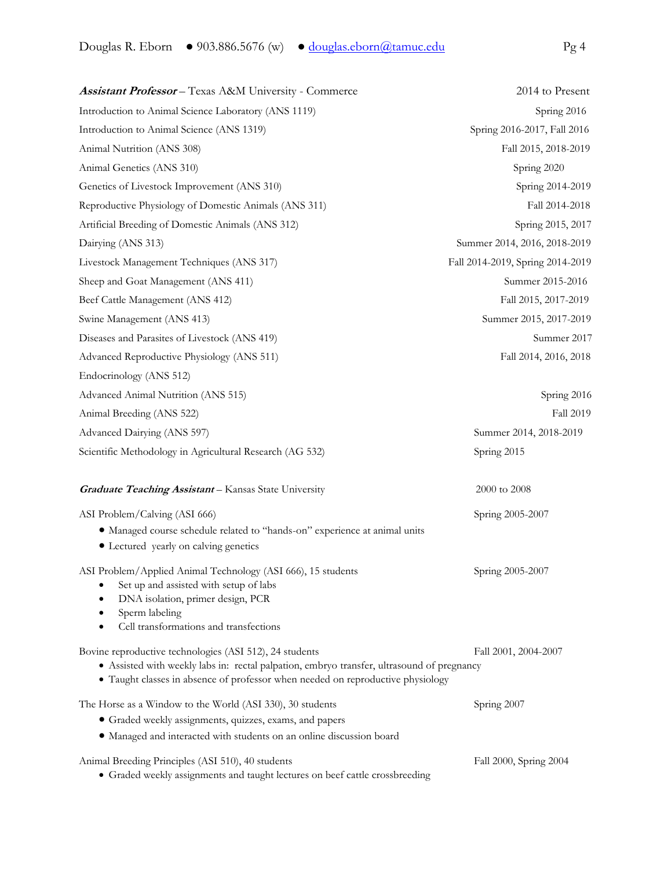| <b>Assistant Professor</b> - Texas A&M University - Commerce                                                                                                                                                                             | 2014 to Present                  |
|------------------------------------------------------------------------------------------------------------------------------------------------------------------------------------------------------------------------------------------|----------------------------------|
| Introduction to Animal Science Laboratory (ANS 1119)                                                                                                                                                                                     | Spring 2016                      |
| Introduction to Animal Science (ANS 1319)                                                                                                                                                                                                | Spring 2016-2017, Fall 2016      |
| Animal Nutrition (ANS 308)                                                                                                                                                                                                               | Fall 2015, 2018-2019             |
| Animal Genetics (ANS 310)                                                                                                                                                                                                                | Spring 2020                      |
| Genetics of Livestock Improvement (ANS 310)                                                                                                                                                                                              | Spring 2014-2019                 |
| Reproductive Physiology of Domestic Animals (ANS 311)                                                                                                                                                                                    | Fall 2014-2018                   |
| Artificial Breeding of Domestic Animals (ANS 312)                                                                                                                                                                                        | Spring 2015, 2017                |
| Dairying (ANS 313)                                                                                                                                                                                                                       | Summer 2014, 2016, 2018-2019     |
| Livestock Management Techniques (ANS 317)                                                                                                                                                                                                | Fall 2014-2019, Spring 2014-2019 |
| Sheep and Goat Management (ANS 411)                                                                                                                                                                                                      | Summer 2015-2016                 |
| Beef Cattle Management (ANS 412)                                                                                                                                                                                                         | Fall 2015, 2017-2019             |
| Swine Management (ANS 413)                                                                                                                                                                                                               | Summer 2015, 2017-2019           |
| Diseases and Parasites of Livestock (ANS 419)                                                                                                                                                                                            | Summer 2017                      |
| Advanced Reproductive Physiology (ANS 511)                                                                                                                                                                                               | Fall 2014, 2016, 2018            |
| Endocrinology (ANS 512)                                                                                                                                                                                                                  |                                  |
| Advanced Animal Nutrition (ANS 515)                                                                                                                                                                                                      | Spring 2016                      |
| Animal Breeding (ANS 522)                                                                                                                                                                                                                | <b>Fall 2019</b>                 |
| Advanced Dairying (ANS 597)                                                                                                                                                                                                              | Summer 2014, 2018-2019           |
| Scientific Methodology in Agricultural Research (AG 532)                                                                                                                                                                                 | Spring 2015                      |
| <b>Graduate Teaching Assistant</b> - Kansas State University                                                                                                                                                                             | 2000 to 2008                     |
| ASI Problem/Calving (ASI 666)                                                                                                                                                                                                            | Spring 2005-2007                 |
| · Managed course schedule related to "hands-on" experience at animal units<br>• Lectured yearly on calving genetics                                                                                                                      |                                  |
| ASI Problem/Applied Animal Technology (ASI 666), 15 students<br>Set up and assisted with setup of labs<br>٠<br>DNA isolation, primer design, PCR<br>Sperm labeling<br>Cell transformations and transfections                             | Spring 2005-2007                 |
| Bovine reproductive technologies (ASI 512), 24 students<br>· Assisted with weekly labs in: rectal palpation, embryo transfer, ultrasound of pregnancy<br>· Taught classes in absence of professor when needed on reproductive physiology | Fall 2001, 2004-2007             |
| The Horse as a Window to the World (ASI 330), 30 students                                                                                                                                                                                | Spring 2007                      |
| • Graded weekly assignments, quizzes, exams, and papers<br>• Managed and interacted with students on an online discussion board                                                                                                          |                                  |

Animal Breeding Principles (ASI 510), 40 students Fall 2000, Spring 2004

Graded weekly assignments and taught lectures on beef cattle crossbreeding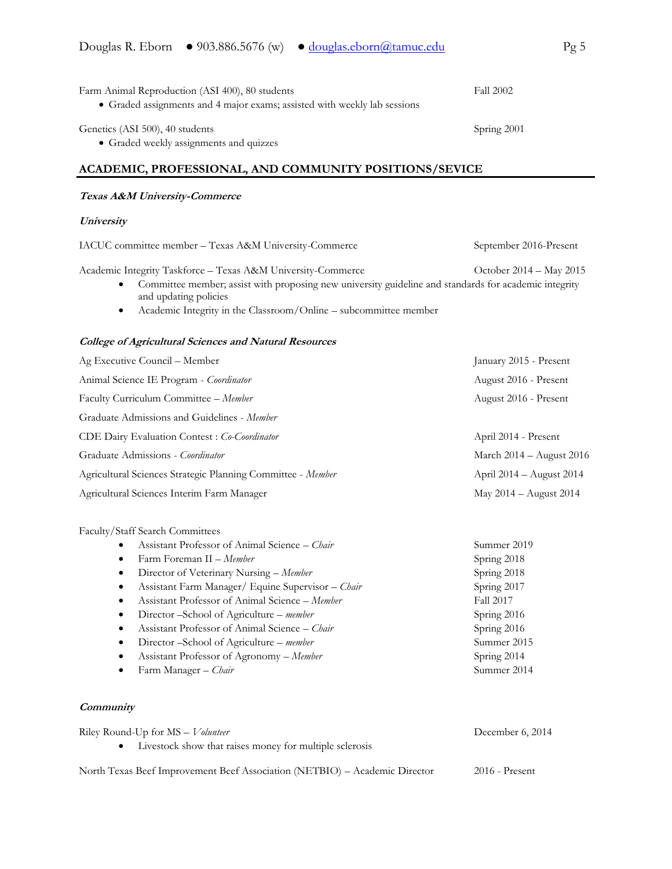| Farm Animal Reproduction (ASI 400), 80 students                           | <b>Fall 2002</b> |
|---------------------------------------------------------------------------|------------------|
| • Graded assignments and 4 major exams; assisted with weekly lab sessions |                  |
| Genetics (ASI 500), 40 students                                           | Spring 2001      |
| • Graded weekly assignments and quizzes                                   |                  |

## **ACADEMIC, PROFESSIONAL, AND COMMUNITY POSITIONS/SEVICE**

### **Texas A&M University-Commerce**

### **University**

IACUC committee member – Texas A&M University-Commerce September 2016-Present

Academic Integrity Taskforce - Texas A&M University-Commerce October 2014 - May 2015

- Committee member; assist with proposing new university guideline and standards for academic integrity and updating policies
- Academic Integrity in the Classroom/Online subcommittee member

### **College of Agricultural Sciences and Natural Resources**

| Ag Executive Council - Member                               | January 2015 - Present       |
|-------------------------------------------------------------|------------------------------|
| Animal Science IE Program - Coordinator                     | August 2016 - Present        |
| Faculty Curriculum Committee - Member                       | August 2016 - Present        |
| Graduate Admissions and Guidelines - Member                 |                              |
| CDE Dairy Evaluation Contest: Co-Coordinator                | April 2014 - Present         |
| Graduate Admissions - Coordinator                           | March 2014 - August 2016     |
| Agricultural Sciences Strategic Planning Committee - Member | April $2014 -$ August $2014$ |
| Agricultural Sciences Interim Farm Manager                  | May 2014 - August 2014       |

### Faculty/Staff Search Committees

|           | Assistant Professor of Animal Science - Chair     | Summer 2019 |
|-----------|---------------------------------------------------|-------------|
|           | Farm Foreman II - Member                          | Spring 2018 |
| $\bullet$ | Director of Veterinary Nursing – Member           | Spring 2018 |
|           | Assistant Farm Manager/ Equine Supervisor - Chair | Spring 2017 |
|           | Assistant Professor of Animal Science – Member    | Fall 2017   |
|           | Director – School of Agriculture – member         | Spring 2016 |
| $\bullet$ | Assistant Professor of Animal Science – Chair     | Spring 2016 |
| $\bullet$ | Director – School of Agriculture – member         | Summer 2015 |
| ٠         | Assistant Professor of Agronomy - Member          | Spring 2014 |
|           | Farm Manager – Chair                              | Summer 2014 |

## **Community**

| Riley Round-Up for $MS - Volume$                                           | December 6, 2014 |
|----------------------------------------------------------------------------|------------------|
| • Livestock show that raises money for multiple sclerosis                  |                  |
| North Texas Beef Improvement Beef Association (NETBIO) – Academic Director | $2016$ - Present |